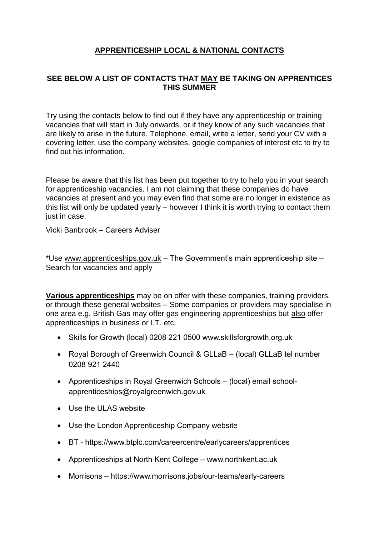# **APPRENTICESHIP LOCAL & NATIONAL CONTACTS**

### **SEE BELOW A LIST OF CONTACTS THAT MAY BE TAKING ON APPRENTICES THIS SUMMER**

Try using the contacts below to find out if they have any apprenticeship or training vacancies that will start in July onwards, or if they know of any such vacancies that are likely to arise in the future. Telephone, email, write a letter, send your CV with a covering letter, use the company websites, google companies of interest etc to try to find out his information.

Please be aware that this list has been put together to try to help you in your search for apprenticeship vacancies. I am not claiming that these companies do have vacancies at present and you may even find that some are no longer in existence as this list will only be updated yearly – however I think it is worth trying to contact them just in case.

Vicki Banbrook – Careers Adviser

\*Use [www.apprenticeships.gov.uk](http://www.apprenticeships.gov.uk/) – The Government's main apprenticeship site – Search for vacancies and apply

**Various apprenticeships** may be on offer with these companies, training providers, or through these general websites – Some companies or providers may specialise in one area e.g. British Gas may offer gas engineering apprenticeships but also offer apprenticeships in business or I.T. etc.

- Skills for Growth (local) 0208 221 0500 www.skillsforgrowth.org.uk
- Royal Borough of Greenwich Council & GLLaB (local) GLLaB tel number 0208 921 2440
- Apprenticeships in Royal Greenwich Schools (local) email [school](mailto:school-apprenticeships@royalgreenwich.gov.uk)[apprenticeships@royalgreenwich.gov.uk](mailto:school-apprenticeships@royalgreenwich.gov.uk)
- Use the ULAS website
- Use the London Apprenticeship Company website
- BT <https://www.btplc.com/careercentre/earlycareers/apprentices>
- Apprenticeships at North Kent College [www.northkent.ac.uk](http://www.northkent.ac.uk/)
- Morrisons <https://www.morrisons.jobs/our-teams/early-careers>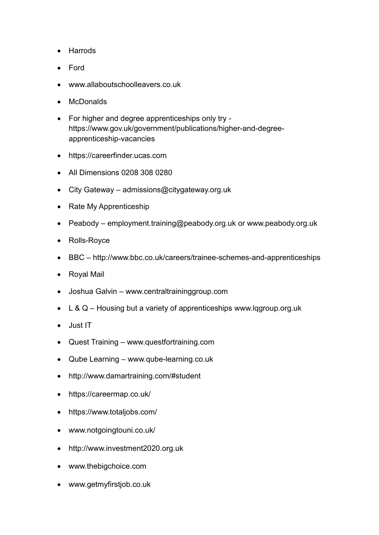- Harrods
- Ford
- www.allaboutschoolleavers.co.uk
- McDonalds
- For higher and degree apprenticeships only try https://www.gov.uk/government/publications/higher-and-degreeapprenticeship-vacancies
- https://careerfinder.ucas.com
- All Dimensions 0208 308 0280
- City Gateway [admissions@citygateway.org.uk](mailto:admissions@citygateway.org.uk)
- Rate My Apprenticeship
- Peabody [employment.training@peabody.org.uk](mailto:employment.training@peabody.org.uk) or [www.peabody.org.uk](http://www.peabody.org.uk/)
- Rolls-Royce
- BBC <http://www.bbc.co.uk/careers/trainee-schemes-and-apprenticeships>
- Royal Mail
- Joshua Galvin [www.centraltraininggroup.com](http://www.centraltraininggroup.com/)
- $\bullet$  L & Q Housing but a variety of apprenticeships [www.lqgroup.org.uk](http://www.lqgroup.org.uk/)
- Just IT
- Quest Training [www.questfortraining.com](http://www.questfortraining.com/)
- Qube Learning [www.qube-learning.co.uk](http://www.qube-learning.co.uk/)
- <http://www.damartraining.com/#student>
- <https://careermap.co.uk/>
- <https://www.totaljobs.com/>
- [www.notgoingtouni.co.uk/](http://www.notgoingtouni.co.uk/)
- [http://www.investment2020.org.uk](http://www.investment2020.org.uk/)
- [www.thebigchoice.com](http://www.thebigchoice.com/)
- [www.getmyfirstjob.co.uk](http://www.getmyfirstjob.co.uk/)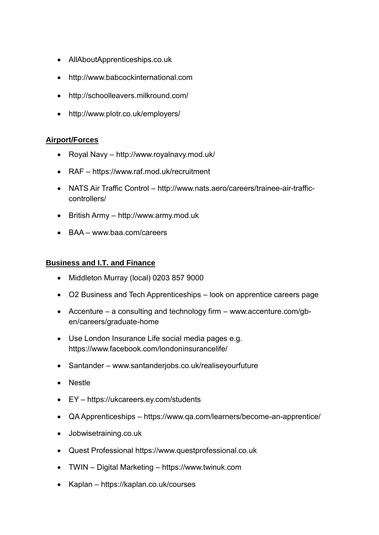- [AllAboutApprenticeships.co.uk](http://allaboutapprenticeships.co.uk/)
- [http://www.babcockinternational.com](http://www.babcockinternational.com/)
- <http://schoolleavers.milkround.com/>
- <http://www.plotr.co.uk/employers/>

### **Airport/Forces**

- Royal Navy <http://www.royalnavy.mod.uk/>
- RAF <https://www.raf.mod.uk/recruitment>
- NATS Air Traffic Control [http://www.nats.aero/careers/trainee-air-traffic](http://www.nats.aero/careers/trainee-air-traffic-controllers/)[controllers/](http://www.nats.aero/careers/trainee-air-traffic-controllers/)
- British Army [http://www.army.mod.uk](http://www.army.mod.uk/)
- BAA www.baa.com/careers

#### **Business and I.T. and Finance**

- Middleton Murray (local) 0203 857 9000
- O2 Business and Tech Apprenticeships look on apprentice careers page
- Accenture a consulting and technology firm [www.accenture.com/gb](http://www.accenture.com/gb-en/careers/graduate-home)[en/careers/graduate-home](http://www.accenture.com/gb-en/careers/graduate-home)
- Use London Insurance Life social media pages e.g. <https://www.facebook.com/londoninsurancelife/>
- Santander www.santanderjobs.co.uk/realiseyourfuture
- Nestle
- EY https://ukcareers.ey.com/students
- QA Apprenticeships https://www.qa.com/learners/become-an-apprentice/
- Jobwisetraining.co.uk
- Quest Professional https://www.questprofessional.co.uk
- TWIN Digital Marketing https://www.twinuk.com
- Kaplan https://kaplan.co.uk/courses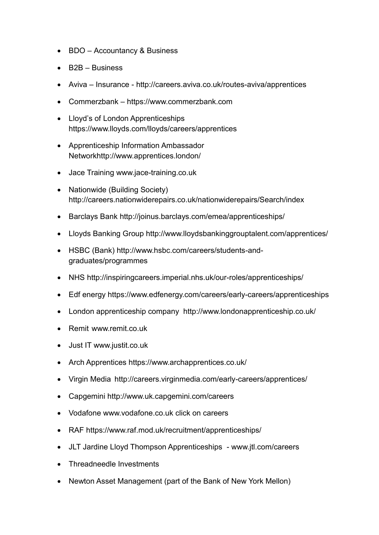- BDO Accountancy & Business
- B2B Business
- Aviva Insurance <http://careers.aviva.co.uk/routes-aviva/apprentices>
- Commerzbank [https://www.commerzbank.com](https://www.commerzbank.com/)
- Lloyd's of London Apprenticeships <https://www.lloyds.com/lloyds/careers/apprentices>
- Apprenticeship Information Ambassador Networkhttp://www.apprentices.london/
- Jace Training www.jace-training.co.uk
- Nationwide (Building Society) http://careers.nationwiderepairs.co.uk/nationwiderepairs/Search/index
- Barclays Bank http://joinus.barclays.com/emea/apprenticeships/
- Lloyds Banking Group http://www.lloydsbankinggrouptalent.com/apprentices/
- HSBC (Bank) http://www.hsbc.com/careers/students-andgraduates/programmes
- NHS http://inspiringcareers.imperial.nhs.uk/our-roles/apprenticeships/
- Edf energy https://www.edfenergy.com/careers/early-careers/apprenticeships
- London apprenticeship company http://www.londonapprenticeship.co.uk/
- Remit www.remit.co.uk
- Just IT www.justit.co.uk
- Arch Apprentices https://www.archapprentices.co.uk/
- Virgin Media http://careers.virginmedia.com/early-careers/apprentices/
- Capgemini http://www.uk.capgemini.com/careers
- Vodafone [www.vodafone.co.uk](http://www.vodafone.co.uk/) click on careers
- RAF https://www.raf.mod.uk/recruitment/apprenticeships/
- JLT Jardine Lloyd Thompson Apprenticeships www.jtl.com/careers
- Threadneedle Investments
- Newton Asset Management (part of the Bank of New York Mellon)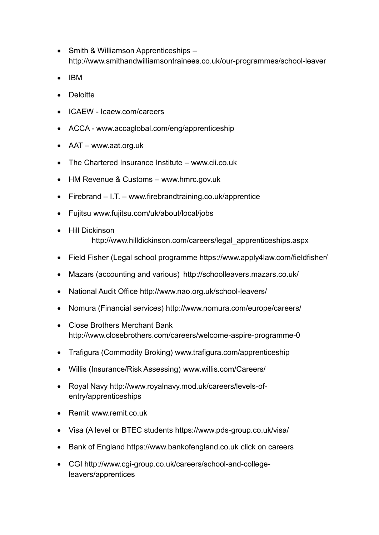- Smith & Williamson Apprenticeships <http://www.smithandwilliamsontrainees.co.uk/our-programmes/school-leaver>
- $\bullet$  IBM
- **•** Deloitte
- ICAEW Icaew.com/careers
- ACCA [www.accaglobal.com/eng/apprenticeship](http://www.accaglobal.com/eng/apprenticeship)
- AAT www.aat.org.uk
- The Chartered Insurance Institute [www.cii.co.uk](http://www.cii.co.uk/)
- HM Revenue & Customs [www.hmrc.gov.uk](http://www.hmrc.gov.uk/)
- Firebrand I.T. www.firebrandtraining.co.uk/apprentice
- Fujitsu www.fujitsu.com/uk/about/local/jobs
- Hill Dickinson http://www.hilldickinson.com/careers/legal\_apprenticeships.aspx
- Field Fisher (Legal school programme https://www.apply4law.com/fieldfisher/
- Mazars (accounting and various) http://schoolleavers.mazars.co.uk/
- National Audit Office http://www.nao.org.uk/school-leavers/
- Nomura (Financial services) http://www.nomura.com/europe/careers/
- Close Brothers Merchant Bank http://www.closebrothers.com/careers/welcome-aspire-programme-0
- Trafigura (Commodity Broking) www.trafigura.com/apprenticeship
- Willis (Insurance/Risk Assessing) www.willis.com/Careers/
- Royal Navy http://www.royalnavy.mod.uk/careers/levels-ofentry/apprenticeships
- Remit www.remit.co.uk
- Visa (A level or BTEC students https://www.pds-group.co.uk/visa/
- Bank of England [https://www.bankofengland.co.uk](https://www.bankofengland.co.uk/) click on careers
- CGI http://www.cgi-group.co.uk/careers/school-and-collegeleavers/apprentices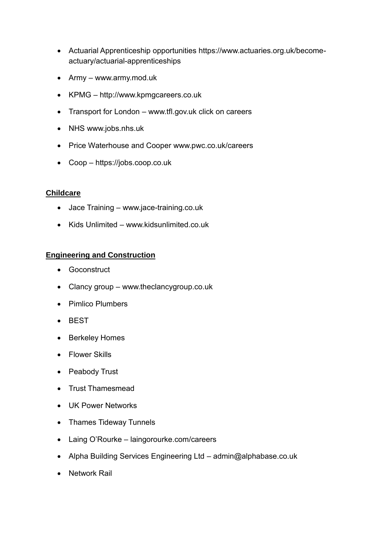- Actuarial Apprenticeship opportunities [https://www.actuaries.org.uk/become](https://www.actuaries.org.uk/become-actuary/actuarial-apprenticeships)[actuary/actuarial-apprenticeships](https://www.actuaries.org.uk/become-actuary/actuarial-apprenticeships)
- Army [www.army.mod.uk](http://www.army.mod.uk/)
- KPMG http://www.kpmgcareers.co.uk
- Transport for London [www.tfl.gov.uk](http://www.tfl.gov.uk/) click on careers
- NHS [www.jobs.nhs.uk](http://www.jobs.nhs.uk/)
- Price Waterhouse and Cooper [www.pwc.co.uk/careers](http://www.pwc.co.uk/careers)
- Coop https://jobs.coop.co.uk

### **Childcare**

- Jace Training [www.jace-training.co.uk](http://www.jace-training.co.uk/)
- Kids Unlimited [www.kidsunlimited.](http://www.kidsunlimited/)co.uk

### **Engineering and Construction**

- **•** Goconstruct
- Clancy group www.theclancygroup.co.uk
- Pimlico Plumbers
- BEST
- Berkeley Homes
- Flower Skills
- Peabody Trust
- Trust Thamesmead
- UK Power Networks
- Thames Tideway Tunnels
- Laing O'Rourke laingorourke.com/careers
- Alpha Building Services Engineering Ltd [admin@alphabase.co.uk](mailto:admin@alphabase.co.uk)
- Network Rail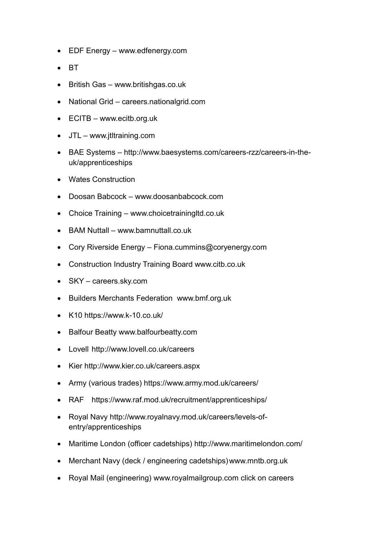- EDF Energy [www.edfenergy.com](http://www.edfenergy.com/)
- **BT**
- British Gas [www.britishgas.co.uk](http://www.britishgas.co.uk/)
- National Grid careers.nationalgrid.com
- ECITB www.ecitb.org.uk
- JTL [www.jtltraining.com](http://www.jtltraining.com/)
- BAE Systems [http://www.baesystems.com/careers-rzz/careers-in-the](http://www.baesystems.com/careers-rzz/careers-in-the-uk/apprenticeships)[uk/apprenticeships](http://www.baesystems.com/careers-rzz/careers-in-the-uk/apprenticeships)
- Wates Construction
- Doosan Babcock [www.doosanbabcock.com](http://www.doosanbabcock.com/)
- Choice Training [www.choicetrainingltd.co.uk](http://www.choicetrainingltd.co.uk/)
- BAM Nuttall [www.bamnuttall.co.uk](http://www.bamnuttall.co.uk/)
- Cory Riverside Energy [Fiona.cummins@coryenergy.com](mailto:Fiona.cummins@coryenergy.com)
- Construction Industry Training Board www.citb.co.uk
- SKY careers.sky.com
- Builders Merchants Federation www.bmf.org.uk
- K10 https://www.k-10.co.uk/
- Balfour Beatty www.balfourbeatty.com
- Lovell http://www.lovell.co.uk/careers
- Kier http://www.kier.co.uk/careers.aspx
- Army (various trades) https://www.army.mod.uk/careers/
- RAF https://www.raf.mod.uk/recruitment/apprenticeships/
- Royal Navy http://www.royalnavy.mod.uk/careers/levels-ofentry/apprenticeships
- Maritime London (officer cadetships) http://www.maritimelondon.com/
- Merchant Navy (deck / engineering cadetships)www.mntb.org.uk
- Royal Mail (engineering) [www.royalmailgroup.com](http://www.royalmailgroup.com/) click on careers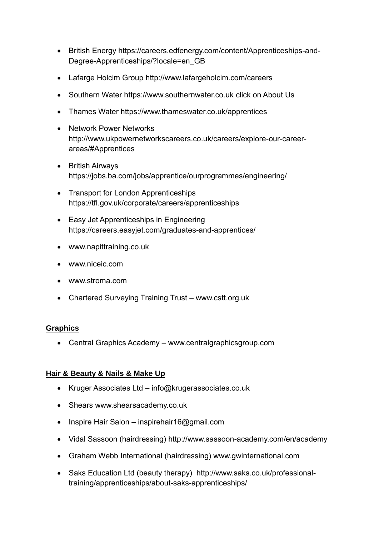- British Energy https://careers.edfenergy.com/content/Apprenticeships-and-Degree-Apprenticeships/?locale=en\_GB
- Lafarge Holcim Group http://www.lafargeholcim.com/careers
- Southern Water [https://www.southernwater.co.uk](https://www.southernwater.co.uk/) click on About Us
- Thames Water https://www.thameswater.co.uk/apprentices
- Network Power Networks http://www.ukpowernetworkscareers.co.uk/careers/explore-our-careerareas/#Apprentices
- British Airways https://jobs.ba.com/jobs/apprentice/ourprogrammes/engineering/
- Transport for London Apprenticeships https://tfl.gov.uk/corporate/careers/apprenticeships
- Easy Jet Apprenticeships in Engineering https://careers.easyjet.com/graduates-and-apprentices/
- [www.napittraining.co.uk](http://www.napittraining.co.uk/)
- [www.niceic.com](http://www.niceic.com/)
- [www.stroma.com](http://www.stroma.com/)
- Chartered Surveying Training Trust www.cstt.org.uk

### **Graphics**

Central Graphics Academy – www.centralgraphicsgroup.com

### **Hair & Beauty & Nails & Make Up**

- Kruger Associates Ltd [info@krugerassociates.co.uk](mailto:info@krugerassociates.co.uk)
- Shears www.shearsacademy.co.uk
- Inspire Hair Salon [inspirehair16@gmail.com](mailto:inspirehair16@gmail.com)
- Vidal Sassoon (hairdressing) http://www.sassoon-academy.com/en/academy
- Graham Webb International (hairdressing) www.gwinternational.com
- Saks Education Ltd (beauty therapy) http://www.saks.co.uk/professionaltraining/apprenticeships/about-saks-apprenticeships/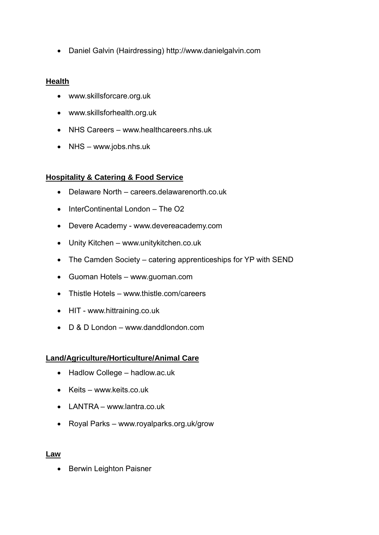Daniel Galvin (Hairdressing) http://www.danielgalvin.com

### **Health**

- [www.skillsforcare.org.uk](http://www.skillsforcare.org.uk/)
- [www.skillsforhealth.org.uk](http://www.skillsforhealth.org.uk/)
- NHS Careers [www.healthcareers.nhs.uk](http://www.healthcareers.nhs.uk/)
- NHS www.jobs.nhs.uk

### **Hospitality & Catering & Food Service**

- Delaware North careers.delawarenorth.co.uk
- $\bullet$  InterContinental London The O<sub>2</sub>
- Devere Academy [www.devereacademy.com](http://www.devereacademy.com/)
- Unity Kitchen [www.unitykitchen.co.uk](http://www.unitykitchen.co.uk/)
- The Camden Society catering apprenticeships for YP with SEND
- Guoman Hotels [www.guoman.com](http://www.guoman.com/)
- Thistle Hotels [www.thistle.com/careers](http://www.thistle.com/careers)
- HIT [www.hittraining.co.uk](http://www.hittraining.co.uk/)
- D & D London www.danddlondon.com

### **Land/Agriculture/Horticulture/Animal Care**

- Hadlow College hadlow.ac.uk
- $\bullet$  Keits [www.keits.co.uk](http://www.keits.co.uk/)
- LANTRA [www.lantra.co.uk](http://www.lantra.co.uk/)
- Royal Parks www.royalparks.org.uk/grow

#### **Law**

• Berwin Leighton Paisner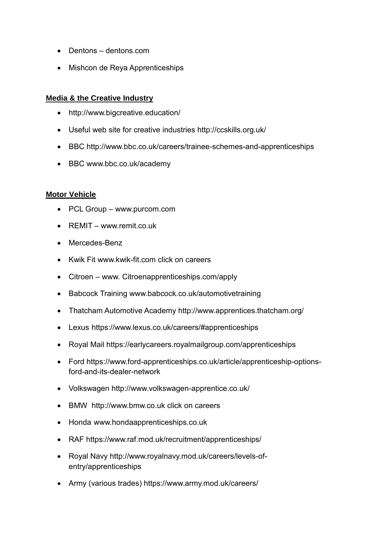- Dentons dentons.com
- Mishcon de Reya Apprenticeships

### **Media & the Creative Industry**

- <http://www.bigcreative.education/>
- Useful web site for creative industries http://ccskills.org.uk/
- BBC http://www.bbc.co.uk/careers/trainee-schemes-and-apprenticeships
- BBC www.bbc.co.uk/academy

### **Motor Vehicle**

- PCL Group [www.purcom.com](http://www.purcom.com/)
- REMIT [www.remit.co.uk](http://www.remit.co.uk/)
- Mercedes-Benz
- Kwik Fit [www.kwik-fit.com](http://www.kwik-fit.com/) click on careers
- Citroen www. Citroenapprenticeships.com/apply
- Babcock Training www.babcock.co.uk/automotivetraining
- Thatcham Automotive Academy http://www.apprentices.thatcham.org/
- Lexus https://www.lexus.co.uk/careers/#apprenticeships
- Royal Mail https://earlycareers.royalmailgroup.com/apprenticeships
- Ford https://www.ford-apprenticeships.co.uk/article/apprenticeship-optionsford-and-its-dealer-network
- Volkswagen http://www.volkswagen-apprentice.co.uk/
- BMW [http://www.bmw.co.uk](http://www.bmw.co.uk/) click on careers
- Honda www.hondaapprenticeships.co.uk
- RAF https://www.raf.mod.uk/recruitment/apprenticeships/
- Royal Navy [http://www.royalnavy.mod.uk/careers/levels-of](http://www.royalnavy.mod.uk/careers/levels-of-entry/apprenticeships)[entry/apprenticeships](http://www.royalnavy.mod.uk/careers/levels-of-entry/apprenticeships)
- Army (various trades) https://www.army.mod.uk/careers/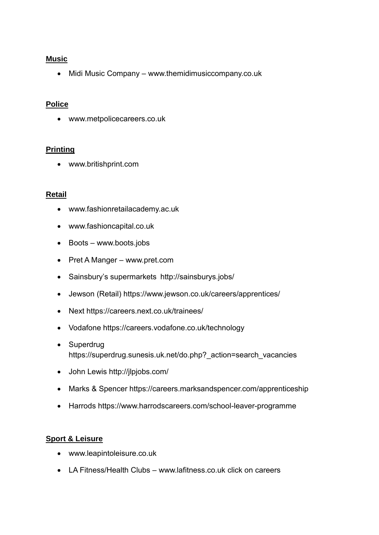### **Music**

• Midi Music Company – [www.themidimusiccompany.co.uk](http://www.themidimusiccompany.co.uk/)

### **Police**

[www.metpolicecareers.co.uk](http://www.metpolicecareers.co.uk/)

### **Printing**

www.britishprint.com

### **Retail**

- [www.fashionretailacademy.a](http://www.fashionretailacademy./)c.uk
- [www.fashioncapital.co.uk](http://www.fashioncapital.co.uk/)
- Boots [www.boots.jobs](http://www.boots.jobs/)
- Pret A Manger www.pret.com
- Sainsbury's supermarkets http://sainsburys.jobs/
- Jewson (Retail) https://www.jewson.co.uk/careers/apprentices/
- Next https://careers.next.co.uk/trainees/
- Vodafone https://careers.vodafone.co.uk/technology
- Superdrug https://superdrug.sunesis.uk.net/do.php? action=search\_vacancies
- John Lewis http://jlpjobs.com/
- Marks & Spencer https://careers.marksandspencer.com/apprenticeship
- Harrods https://www.harrodscareers.com/school-leaver-programme

### **Sport & Leisure**

- [www.leapintoleisure.co.uk](http://www.leapintoleisure.co.uk/)
- LA Fitness/Health Clubs [www.lafitness.co.uk](http://www.lafitness.co.uk/) click on careers